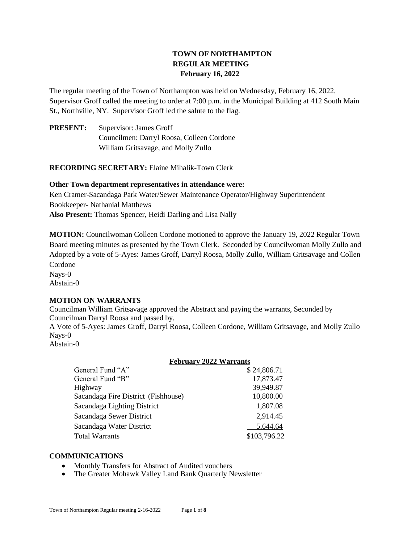# **TOWN OF NORTHAMPTON REGULAR MEETING February 16, 2022**

The regular meeting of the Town of Northampton was held on Wednesday, February 16, 2022. Supervisor Groff called the meeting to order at 7:00 p.m. in the Municipal Building at 412 South Main St., Northville, NY. Supervisor Groff led the salute to the flag.

**PRESENT:** Supervisor: James Groff Councilmen: Darryl Roosa, Colleen Cordone William Gritsavage, and Molly Zullo

**RECORDING SECRETARY:** Elaine Mihalik-Town Clerk

## **Other Town department representatives in attendance were:**

Ken Cramer-Sacandaga Park Water/Sewer Maintenance Operator/Highway Superintendent Bookkeeper- Nathanial Matthews **Also Present:** Thomas Spencer, Heidi Darling and Lisa Nally

**MOTION:** Councilwoman Colleen Cordone motioned to approve the January 19, 2022 Regular Town Board meeting minutes as presented by the Town Clerk. Seconded by Councilwoman Molly Zullo and Adopted by a vote of 5-Ayes: James Groff, Darryl Roosa, Molly Zullo, William Gritsavage and Collen Cordone Nays-0

Abstain-0

# **MOTION ON WARRANTS**

Councilman William Gritsavage approved the Abstract and paying the warrants, Seconded by Councilman Darryl Roosa and passed by,

A Vote of 5-Ayes: James Groff, Darryl Roosa, Colleen Cordone, William Gritsavage, and Molly Zullo Nays-0

Abstain-0

# **February 2022 Warrants**

| \$24,806.71  |  |
|--------------|--|
| 17,873.47    |  |
| 39,949.87    |  |
| 10,800.00    |  |
| 1,807.08     |  |
| 2,914.45     |  |
| 5,644.64     |  |
| \$103,796.22 |  |
|              |  |

# **COMMUNICATIONS**

- Monthly Transfers for Abstract of Audited vouchers
- The Greater Mohawk Valley Land Bank Quarterly Newsletter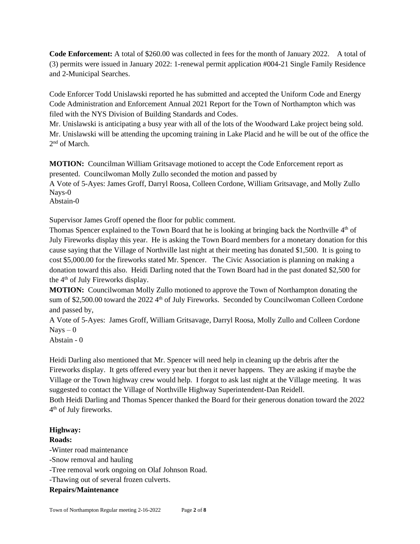**Code Enforcement:** A total of \$260.00 was collected in fees for the month of January 2022. A total of (3) permits were issued in January 2022: 1-renewal permit application #004-21 Single Family Residence and 2-Municipal Searches.

Code Enforcer Todd Unislawski reported he has submitted and accepted the Uniform Code and Energy Code Administration and Enforcement Annual 2021 Report for the Town of Northampton which was filed with the NYS Division of Building Standards and Codes.

Mr. Unislawski is anticipating a busy year with all of the lots of the Woodward Lake project being sold. Mr. Unislawski will be attending the upcoming training in Lake Placid and he will be out of the office the 2<sup>nd</sup> of March.

**MOTION:** Councilman William Gritsavage motioned to accept the Code Enforcement report as presented. Councilwoman Molly Zullo seconded the motion and passed by A Vote of 5-Ayes: James Groff, Darryl Roosa, Colleen Cordone, William Gritsavage, and Molly Zullo Nays-0 Abstain-0

Supervisor James Groff opened the floor for public comment.

Thomas Spencer explained to the Town Board that he is looking at bringing back the Northville 4<sup>th</sup> of July Fireworks display this year. He is asking the Town Board members for a monetary donation for this cause saying that the Village of Northville last night at their meeting has donated \$1,500. It is going to cost \$5,000.00 for the fireworks stated Mr. Spencer. The Civic Association is planning on making a donation toward this also. Heidi Darling noted that the Town Board had in the past donated \$2,500 for the 4th of July Fireworks display.

**MOTION:** Councilwoman Molly Zullo motioned to approve the Town of Northampton donating the sum of \$2,500.00 toward the 2022 4<sup>th</sup> of July Fireworks. Seconded by Councilwoman Colleen Cordone and passed by,

A Vote of 5-Ayes: James Groff, William Gritsavage, Darryl Roosa, Molly Zullo and Colleen Cordone  $N$ ays  $-0$ 

Abstain - 0

Heidi Darling also mentioned that Mr. Spencer will need help in cleaning up the debris after the Fireworks display. It gets offered every year but then it never happens. They are asking if maybe the Village or the Town highway crew would help. I forgot to ask last night at the Village meeting. It was suggested to contact the Village of Northville Highway Superintendent-Dan Reidell.

Both Heidi Darling and Thomas Spencer thanked the Board for their generous donation toward the 2022 4<sup>th</sup> of July fireworks.

#### **Highway:**

# **Roads:**

-Winter road maintenance -Snow removal and hauling -Tree removal work ongoing on Olaf Johnson Road. -Thawing out of several frozen culverts. **Repairs/Maintenance**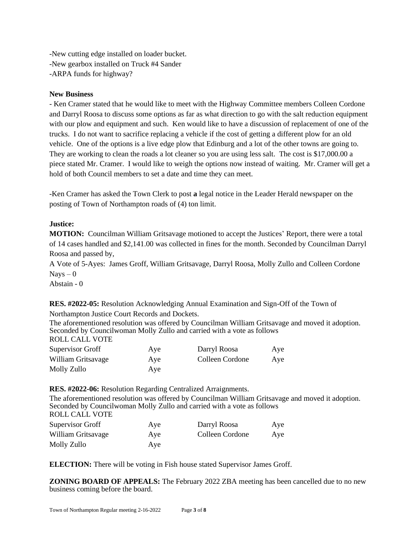-New cutting edge installed on loader bucket. -New gearbox installed on Truck #4 Sander -ARPA funds for highway?

#### **New Business**

- Ken Cramer stated that he would like to meet with the Highway Committee members Colleen Cordone and Darryl Roosa to discuss some options as far as what direction to go with the salt reduction equipment with our plow and equipment and such. Ken would like to have a discussion of replacement of one of the trucks. I do not want to sacrifice replacing a vehicle if the cost of getting a different plow for an old vehicle. One of the options is a live edge plow that Edinburg and a lot of the other towns are going to. They are working to clean the roads a lot cleaner so you are using less salt. The cost is \$17,000.00 a piece stated Mr. Cramer. I would like to weigh the options now instead of waiting. Mr. Cramer will get a hold of both Council members to set a date and time they can meet.

-Ken Cramer has asked the Town Clerk to post **a** legal notice in the Leader Herald newspaper on the posting of Town of Northampton roads of (4) ton limit.

## **Justice:**

**MOTION:** Councilman William Gritsavage motioned to accept the Justices' Report, there were a total of 14 cases handled and \$2,141.00 was collected in fines for the month. Seconded by Councilman Darryl Roosa and passed by,

A Vote of 5-Ayes: James Groff, William Gritsavage, Darryl Roosa, Molly Zullo and Colleen Cordone  $Nays - 0$ 

Abstain - 0

**RES. #2022-05:** Resolution Acknowledging Annual Examination and Sign-Off of the Town of Northampton Justice Court Records and Dockets.

The aforementioned resolution was offered by Councilman William Gritsavage and moved it adoption. Seconded by Councilwoman Molly Zullo and carried with a vote as follows ROLL CALL VOTE

| Supervisor Groff   | Aye | Darryl Roosa    | Aye |
|--------------------|-----|-----------------|-----|
| William Gritsavage | Aye | Colleen Cordone | Aye |
| Molly Zullo        | Aye |                 |     |

**RES. #2022-06:** Resolution Regarding Centralized Arraignments.

The aforementioned resolution was offered by Councilman William Gritsavage and moved it adoption. Seconded by Councilwoman Molly Zullo and carried with a vote as follows ROLL CALL VOTE Supervisor Groff Aye Darryl Roosa Aye William Gritsavage Aye Colleen Cordone Aye Molly Zullo Aye

**ELECTION:** There will be voting in Fish house stated Supervisor James Groff.

**ZONING BOARD OF APPEALS:** The February 2022 ZBA meeting has been cancelled due to no new business coming before the board.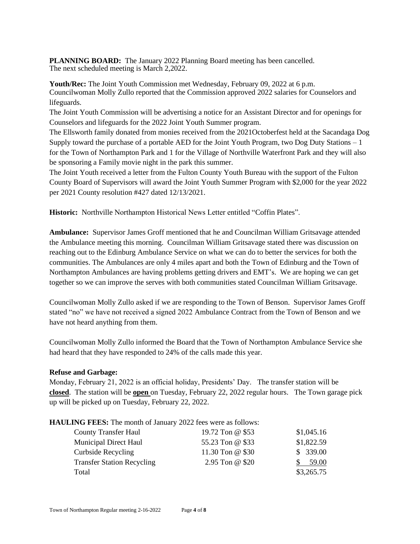**PLANNING BOARD:** The January 2022 Planning Board meeting has been cancelled. The next scheduled meeting is March 2,2022.

**Youth/Rec:** The Joint Youth Commission met Wednesday, February 09, 2022 at 6 p.m. Councilwoman Molly Zullo reported that the Commission approved 2022 salaries for Counselors and lifeguards.

The Joint Youth Commission will be advertising a notice for an Assistant Director and for openings for Counselors and lifeguards for the 2022 Joint Youth Summer program.

The Ellsworth family donated from monies received from the 2021Octoberfest held at the Sacandaga Dog Supply toward the purchase of a portable AED for the Joint Youth Program, two Dog Duty Stations – 1 for the Town of Northampton Park and 1 for the Village of Northville Waterfront Park and they will also be sponsoring a Family movie night in the park this summer.

The Joint Youth received a letter from the Fulton County Youth Bureau with the support of the Fulton County Board of Supervisors will award the Joint Youth Summer Program with \$2,000 for the year 2022 per 2021 County resolution #427 dated 12/13/2021.

**Historic:** Northville Northampton Historical News Letter entitled "Coffin Plates".

**Ambulance:** Supervisor James Groff mentioned that he and Councilman William Gritsavage attended the Ambulance meeting this morning. Councilman William Gritsavage stated there was discussion on reaching out to the Edinburg Ambulance Service on what we can do to better the services for both the communities. The Ambulances are only 4 miles apart and both the Town of Edinburg and the Town of Northampton Ambulances are having problems getting drivers and EMT's. We are hoping we can get together so we can improve the serves with both communities stated Councilman William Gritsavage.

Councilwoman Molly Zullo asked if we are responding to the Town of Benson. Supervisor James Groff stated "no" we have not received a signed 2022 Ambulance Contract from the Town of Benson and we have not heard anything from them.

Councilwoman Molly Zullo informed the Board that the Town of Northampton Ambulance Service she had heard that they have responded to 24% of the calls made this year.

#### **Refuse and Garbage:**

Monday, February 21, 2022 is an official holiday, Presidents' Day. The transfer station will be **closed**. The station will be **open** on Tuesday, February 22, 2022 regular hours. The Town garage pick up will be picked up on Tuesday, February 22, 2022.

#### **HAULING FEES:** The month of January 2022 fees were as follows:

| <b>County Transfer Haul</b>       | 19.72 Ton @ \$53 | \$1,045.16 |
|-----------------------------------|------------------|------------|
| <b>Municipal Direct Haul</b>      | 55.23 Ton @ \$33 | \$1,822.59 |
| Curbside Recycling                | 11.30 Ton @ \$30 | \$339.00   |
| <b>Transfer Station Recycling</b> | 2.95 Ton @ \$20  | 59.00      |
| Total                             |                  | \$3,265.75 |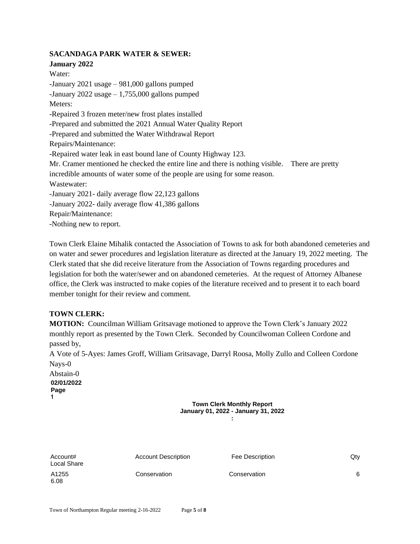## **SACANDAGA PARK WATER & SEWER:**

**January 2022** Water: -January 2021 usage – 981,000 gallons pumped -January 2022 usage  $-1,755,000$  gallons pumped Meters: -Repaired 3 frozen meter/new frost plates installed -Prepared and submitted the 2021 Annual Water Quality Report -Prepared and submitted the Water Withdrawal Report Repairs/Maintenance: -Repaired water leak in east bound lane of County Highway 123. Mr. Cramer mentioned he checked the entire line and there is nothing visible. There are pretty incredible amounts of water some of the people are using for some reason. Wastewater: -January 2021- daily average flow 22,123 gallons -January 2022- daily average flow 41,386 gallons Repair/Maintenance: -Nothing new to report.

Town Clerk Elaine Mihalik contacted the Association of Towns to ask for both abandoned cemeteries and on water and sewer procedures and legislation literature as directed at the January 19, 2022 meeting. The Clerk stated that she did receive literature from the Association of Towns regarding procedures and legislation for both the water/sewer and on abandoned cemeteries. At the request of Attorney Albanese office, the Clerk was instructed to make copies of the literature received and to present it to each board member tonight for their review and comment.

### **TOWN CLERK:**

**MOTION:** Councilman William Gritsavage motioned to approve the Town Clerk's January 2022 monthly report as presented by the Town Clerk. Seconded by Councilwoman Colleen Cordone and passed by,

A Vote of 5-Ayes: James Groff, William Gritsavage, Darryl Roosa, Molly Zullo and Colleen Cordone Nays-0

Abstain-0 **02/01/2022 Page 1**

**Town Clerk Monthly Report January 01, 2022 - January 31, 2022 :**

| Account#<br>Local Share | <b>Account Description</b> | Fee Description | Qty |
|-------------------------|----------------------------|-----------------|-----|
| A1255<br>6.08           | Conservation               | Conservation    | 6   |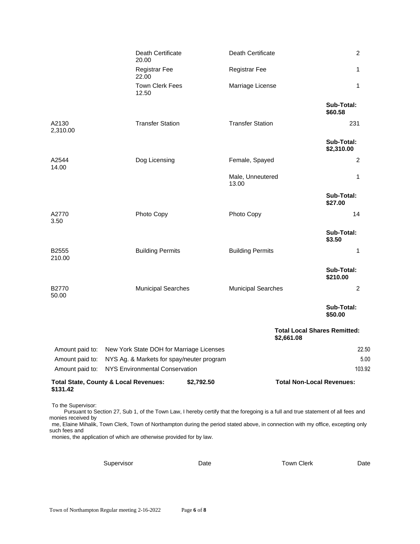|                                | Death Certificate<br>20.00                                     | Death Certificate                                 | 2                        |
|--------------------------------|----------------------------------------------------------------|---------------------------------------------------|--------------------------|
|                                | <b>Registrar Fee</b><br>22.00                                  | <b>Registrar Fee</b>                              | 1                        |
|                                | <b>Town Clerk Fees</b><br>12.50                                | Marriage License                                  | 1                        |
|                                |                                                                |                                                   | Sub-Total:<br>\$60.58    |
| A2130<br>2,310.00              | <b>Transfer Station</b>                                        | <b>Transfer Station</b>                           | 231                      |
|                                |                                                                |                                                   | Sub-Total:<br>\$2,310.00 |
| A2544<br>14.00                 | Dog Licensing                                                  | Female, Spayed                                    | 2                        |
|                                |                                                                | Male, Unneutered<br>13.00                         | 1                        |
|                                |                                                                |                                                   | Sub-Total:<br>\$27.00    |
| A2770<br>3.50                  | Photo Copy                                                     | Photo Copy                                        | 14                       |
|                                |                                                                |                                                   | Sub-Total:<br>\$3.50     |
| B2555<br>210.00                | <b>Building Permits</b>                                        | <b>Building Permits</b>                           | 1                        |
|                                |                                                                |                                                   | Sub-Total:<br>\$210.00   |
| B2770<br>50.00                 | <b>Municipal Searches</b>                                      | <b>Municipal Searches</b>                         | 2                        |
|                                |                                                                |                                                   | Sub-Total:<br>\$50.00    |
|                                |                                                                | <b>Total Local Shares Remitted:</b><br>\$2,661.08 |                          |
|                                | Amount paid to: New York State DOH for Marriage Licenses       |                                                   | 22.50                    |
| Amount paid to:                | NYS Ag. & Markets for spay/neuter program                      |                                                   | 5.00                     |
| Amount paid to:                | <b>NYS Environmental Conservation</b>                          |                                                   | 103.92                   |
| \$131.42                       | <b>Total State, County &amp; Local Revenues:</b><br>\$2,792.50 | <b>Total Non-Local Revenues:</b>                  |                          |
| $\tau$ and $\alpha$ and $\tau$ |                                                                |                                                   |                          |

To the Supervisor:

Pursuant to Section 27, Sub 1, of the Town Law, I hereby certify that the foregoing is a full and true statement of all fees and monies received by

me, Elaine Mihalik, Town Clerk, Town of Northampton during the period stated above, in connection with my office, excepting only such fees and

monies, the application of which are otherwise provided for by law.

| Supervisor | Date | Town Clerk | Date |
|------------|------|------------|------|
|            |      |            |      |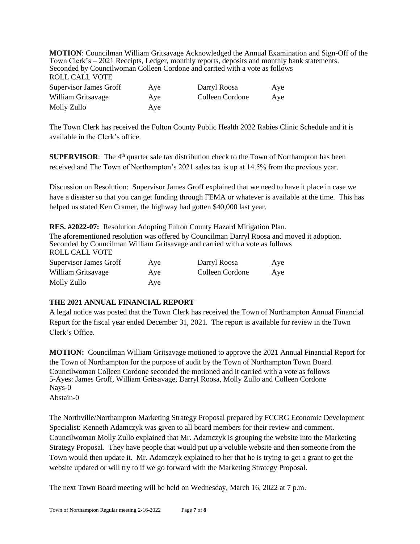**MOTION**: Councilman William Gritsavage Acknowledged the Annual Examination and Sign-Off of the Town Clerk's – 2021 Receipts, Ledger, monthly reports, deposits and monthly bank statements. Seconded by Councilwoman Colleen Cordone and carried with a vote as follows ROLL CALL VOTE

| <b>Supervisor James Groff</b> | Aye | Darryl Roosa    | Aye |
|-------------------------------|-----|-----------------|-----|
| William Gritsavage            | Aye | Colleen Cordone | Aye |
| Molly Zullo                   | Aye |                 |     |

The Town Clerk has received the Fulton County Public Health 2022 Rabies Clinic Schedule and it is available in the Clerk's office.

**SUPERVISOR:** The 4<sup>th</sup> quarter sale tax distribution check to the Town of Northampton has been received and The Town of Northampton's 2021 sales tax is up at 14.5% from the previous year.

Discussion on Resolution: Supervisor James Groff explained that we need to have it place in case we have a disaster so that you can get funding through FEMA or whatever is available at the time. This has helped us stated Ken Cramer, the highway had gotten \$40,000 last year.

| <b>RES.</b> #2022-07: Resolution Adopting Fulton County Hazard Mitigation Plan.                                                                                                               |     |                 |     |  |  |
|-----------------------------------------------------------------------------------------------------------------------------------------------------------------------------------------------|-----|-----------------|-----|--|--|
| The aforementioned resolution was offered by Councilman Darryl Roosa and moved it adoption.<br>Seconded by Councilman William Gritsavage and carried with a vote as follows<br>ROLL CALL VOTE |     |                 |     |  |  |
| <b>Supervisor James Groff</b>                                                                                                                                                                 | Aye | Darryl Roosa    | Aye |  |  |
| William Gritsavage                                                                                                                                                                            | Aye | Colleen Cordone | Aye |  |  |
| Molly Zullo                                                                                                                                                                                   | Aye |                 |     |  |  |

# **THE 2021 ANNUAL FINANCIAL REPORT**

A legal notice was posted that the Town Clerk has received the Town of Northampton Annual Financial Report for the fiscal year ended December 31, 2021. The report is available for review in the Town Clerk's Office.

**MOTION:** Councilman William Gritsavage motioned to approve the 2021 Annual Financial Report for the Town of Northampton for the purpose of audit by the Town of Northampton Town Board. Councilwoman Colleen Cordone seconded the motioned and it carried with a vote as follows 5-Ayes: James Groff, William Gritsavage, Darryl Roosa, Molly Zullo and Colleen Cordone Nays-0 Abstain-0

The Northville/Northampton Marketing Strategy Proposal prepared by FCCRG Economic Development Specialist: Kenneth Adamczyk was given to all board members for their review and comment. Councilwoman Molly Zullo explained that Mr. Adamczyk is grouping the website into the Marketing Strategy Proposal. They have people that would put up a voluble website and then someone from the Town would then update it. Mr. Adamczyk explained to her that he is trying to get a grant to get the website updated or will try to if we go forward with the Marketing Strategy Proposal.

The next Town Board meeting will be held on Wednesday, March 16, 2022 at 7 p.m.